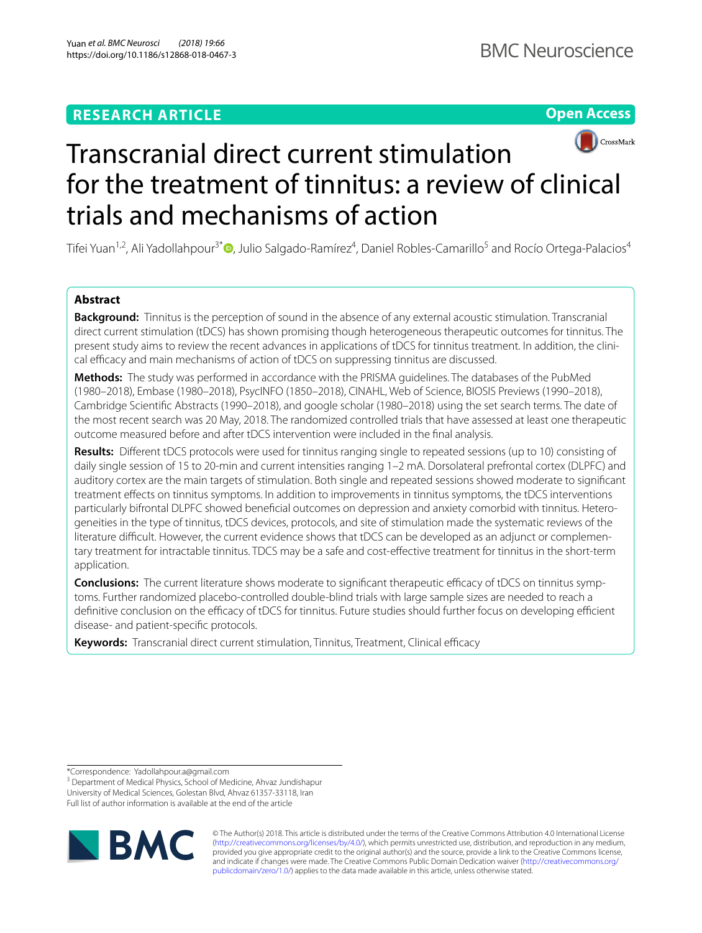# **RESEARCH ARTICLE**

**Open Access**



# Transcranial direct current stimulation for the treatment of tinnitus: a review of clinical trials and mechanisms of action

Tifei Yuan<sup>1,2</sup>[,](http://orcid.org/0000-0002-1216-2109) Ali Yadollahpour<sup>3\*</sup> ©, Julio Salgado-Ramírez<sup>4</sup>, Daniel Robles-Camarillo<sup>5</sup> and Rocío Ortega-Palacios<sup>4</sup>

# **Abstract**

**Background:** Tinnitus is the perception of sound in the absence of any external acoustic stimulation. Transcranial direct current stimulation (tDCS) has shown promising though heterogeneous therapeutic outcomes for tinnitus. The present study aims to review the recent advances in applications of tDCS for tinnitus treatment. In addition, the clinical efficacy and main mechanisms of action of tDCS on suppressing tinnitus are discussed.

**Methods:** The study was performed in accordance with the PRISMA guidelines. The databases of the PubMed (1980–2018), Embase (1980–2018), PsycINFO (1850–2018), CINAHL, Web of Science, BIOSIS Previews (1990–2018), Cambridge Scientifc Abstracts (1990–2018), and google scholar (1980–2018) using the set search terms. The date of the most recent search was 20 May, 2018. The randomized controlled trials that have assessed at least one therapeutic outcome measured before and after tDCS intervention were included in the fnal analysis.

**Results:** Diferent tDCS protocols were used for tinnitus ranging single to repeated sessions (up to 10) consisting of daily single session of 15 to 20-min and current intensities ranging 1–2 mA. Dorsolateral prefrontal cortex (DLPFC) and auditory cortex are the main targets of stimulation. Both single and repeated sessions showed moderate to signifcant treatment efects on tinnitus symptoms. In addition to improvements in tinnitus symptoms, the tDCS interventions particularly bifrontal DLPFC showed beneficial outcomes on depression and anxiety comorbid with tinnitus. Heterogeneities in the type of tinnitus, tDCS devices, protocols, and site of stimulation made the systematic reviews of the literature difficult. However, the current evidence shows that tDCS can be developed as an adjunct or complementary treatment for intractable tinnitus. TDCS may be a safe and cost-efective treatment for tinnitus in the short-term application.

**Conclusions:** The current literature shows moderate to significant therapeutic efficacy of tDCS on tinnitus symptoms. Further randomized placebo-controlled double-blind trials with large sample sizes are needed to reach a definitive conclusion on the efficacy of tDCS for tinnitus. Future studies should further focus on developing efficient disease- and patient-specifc protocols.

Keywords: Transcranial direct current stimulation, Tinnitus, Treatment, Clinical efficacy

\*Correspondence: Yadollahpour.a@gmail.com

<sup>3</sup> Department of Medical Physics, School of Medicine, Ahvaz Jundishapur University of Medical Sciences, Golestan Blvd, Ahvaz 61357‑33118, Iran Full list of author information is available at the end of the article



© The Author(s) 2018. This article is distributed under the terms of the Creative Commons Attribution 4.0 International License [\(http://creativecommons.org/licenses/by/4.0/\)](http://creativecommons.org/licenses/by/4.0/), which permits unrestricted use, distribution, and reproduction in any medium, provided you give appropriate credit to the original author(s) and the source, provide a link to the Creative Commons license, and indicate if changes were made. The Creative Commons Public Domain Dedication waiver ([http://creativecommons.org/](http://creativecommons.org/publicdomain/zero/1.0/) [publicdomain/zero/1.0/](http://creativecommons.org/publicdomain/zero/1.0/)) applies to the data made available in this article, unless otherwise stated.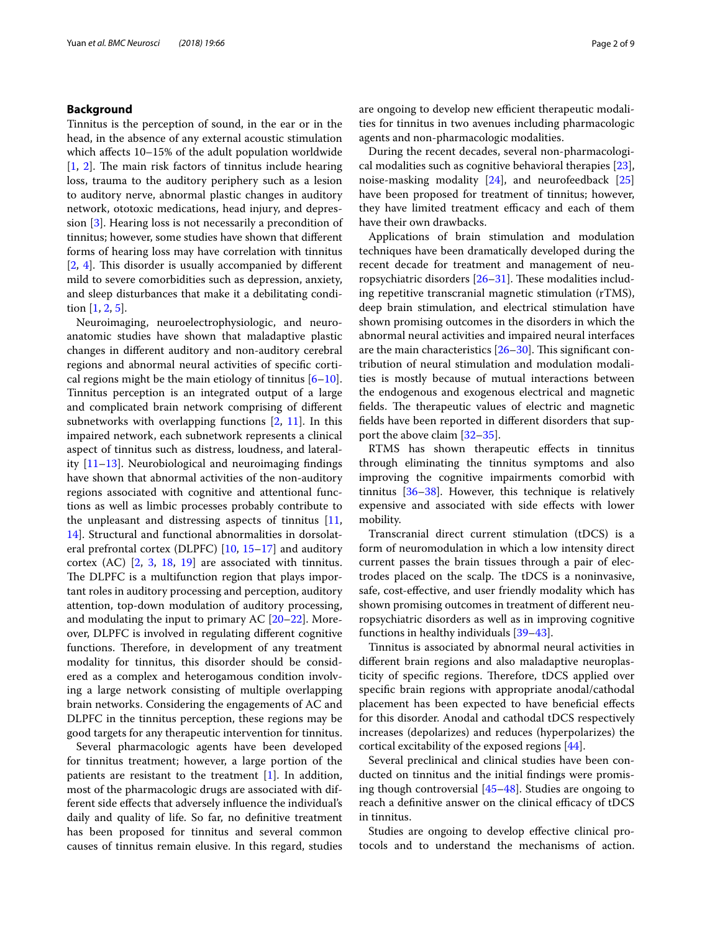## **Background**

Tinnitus is the perception of sound, in the ear or in the head, in the absence of any external acoustic stimulation which afects 10–15% of the adult population worldwide  $[1, 2]$  $[1, 2]$  $[1, 2]$  $[1, 2]$ . The main risk factors of tinnitus include hearing loss, trauma to the auditory periphery such as a lesion to auditory nerve, abnormal plastic changes in auditory network, ototoxic medications, head injury, and depression [[3\]](#page-6-2). Hearing loss is not necessarily a precondition of tinnitus; however, some studies have shown that diferent forms of hearing loss may have correlation with tinnitus  $[2, 4]$  $[2, 4]$  $[2, 4]$  $[2, 4]$  $[2, 4]$ . This disorder is usually accompanied by different mild to severe comorbidities such as depression, anxiety, and sleep disturbances that make it a debilitating condition [[1,](#page-6-0) [2](#page-6-1), [5\]](#page-6-4).

Neuroimaging, neuroelectrophysiologic, and neuroanatomic studies have shown that maladaptive plastic changes in diferent auditory and non-auditory cerebral regions and abnormal neural activities of specifc cortical regions might be the main etiology of tinnitus  $[6-10]$  $[6-10]$ . Tinnitus perception is an integrated output of a large and complicated brain network comprising of diferent subnetworks with overlapping functions  $[2, 11]$  $[2, 11]$  $[2, 11]$  $[2, 11]$ . In this impaired network, each subnetwork represents a clinical aspect of tinnitus such as distress, loudness, and laterality [[11–](#page-6-7)[13\]](#page-6-8). Neurobiological and neuroimaging fndings have shown that abnormal activities of the non-auditory regions associated with cognitive and attentional functions as well as limbic processes probably contribute to the unpleasant and distressing aspects of tinnitus [\[11](#page-6-7), [14\]](#page-6-9). Structural and functional abnormalities in dorsolateral prefrontal cortex (DLPFC) [[10,](#page-6-6) [15–](#page-7-0)[17\]](#page-7-1) and auditory cortex (AC) [\[2](#page-6-1), [3,](#page-6-2) [18,](#page-7-2) [19](#page-7-3)] are associated with tinnitus. The DLPFC is a multifunction region that plays important roles in auditory processing and perception, auditory attention, top-down modulation of auditory processing, and modulating the input to primary AC [[20–](#page-7-4)[22](#page-7-5)]. Moreover, DLPFC is involved in regulating diferent cognitive functions. Therefore, in development of any treatment modality for tinnitus, this disorder should be considered as a complex and heterogamous condition involving a large network consisting of multiple overlapping brain networks. Considering the engagements of AC and DLPFC in the tinnitus perception, these regions may be good targets for any therapeutic intervention for tinnitus.

Several pharmacologic agents have been developed for tinnitus treatment; however, a large portion of the patients are resistant to the treatment [[1\]](#page-6-0). In addition, most of the pharmacologic drugs are associated with different side efects that adversely infuence the individual's daily and quality of life. So far, no defnitive treatment has been proposed for tinnitus and several common causes of tinnitus remain elusive. In this regard, studies are ongoing to develop new efficient therapeutic modalities for tinnitus in two avenues including pharmacologic agents and non-pharmacologic modalities.

During the recent decades, several non-pharmacological modalities such as cognitive behavioral therapies [\[23](#page-7-6)], noise-masking modality [[24\]](#page-7-7), and neurofeedback [[25](#page-7-8)] have been proposed for treatment of tinnitus; however, they have limited treatment efficacy and each of them have their own drawbacks.

Applications of brain stimulation and modulation techniques have been dramatically developed during the recent decade for treatment and management of neuropsychiatric disorders  $[26-31]$  $[26-31]$ . These modalities including repetitive transcranial magnetic stimulation (rTMS), deep brain stimulation, and electrical stimulation have shown promising outcomes in the disorders in which the abnormal neural activities and impaired neural interfaces are the main characteristics  $[26-30]$  $[26-30]$ . This significant contribution of neural stimulation and modulation modalities is mostly because of mutual interactions between the endogenous and exogenous electrical and magnetic fields. The therapeutic values of electric and magnetic felds have been reported in diferent disorders that support the above claim [[32–](#page-7-12)[35\]](#page-7-13).

RTMS has shown therapeutic efects in tinnitus through eliminating the tinnitus symptoms and also improving the cognitive impairments comorbid with tinnitus  $[36-38]$  $[36-38]$  $[36-38]$ . However, this technique is relatively expensive and associated with side efects with lower mobility.

Transcranial direct current stimulation (tDCS) is a form of neuromodulation in which a low intensity direct current passes the brain tissues through a pair of electrodes placed on the scalp. The tDCS is a noninvasive, safe, cost-efective, and user friendly modality which has shown promising outcomes in treatment of diferent neuropsychiatric disorders as well as in improving cognitive functions in healthy individuals [[39](#page-7-16)[–43](#page-7-17)].

Tinnitus is associated by abnormal neural activities in diferent brain regions and also maladaptive neuroplasticity of specific regions. Therefore, tDCS applied over specifc brain regions with appropriate anodal/cathodal placement has been expected to have benefcial efects for this disorder. Anodal and cathodal tDCS respectively increases (depolarizes) and reduces (hyperpolarizes) the cortical excitability of the exposed regions [[44\]](#page-7-18).

Several preclinical and clinical studies have been conducted on tinnitus and the initial fndings were promising though controversial [[45–](#page-7-19)[48\]](#page-7-20). Studies are ongoing to reach a definitive answer on the clinical efficacy of tDCS in tinnitus.

Studies are ongoing to develop efective clinical protocols and to understand the mechanisms of action.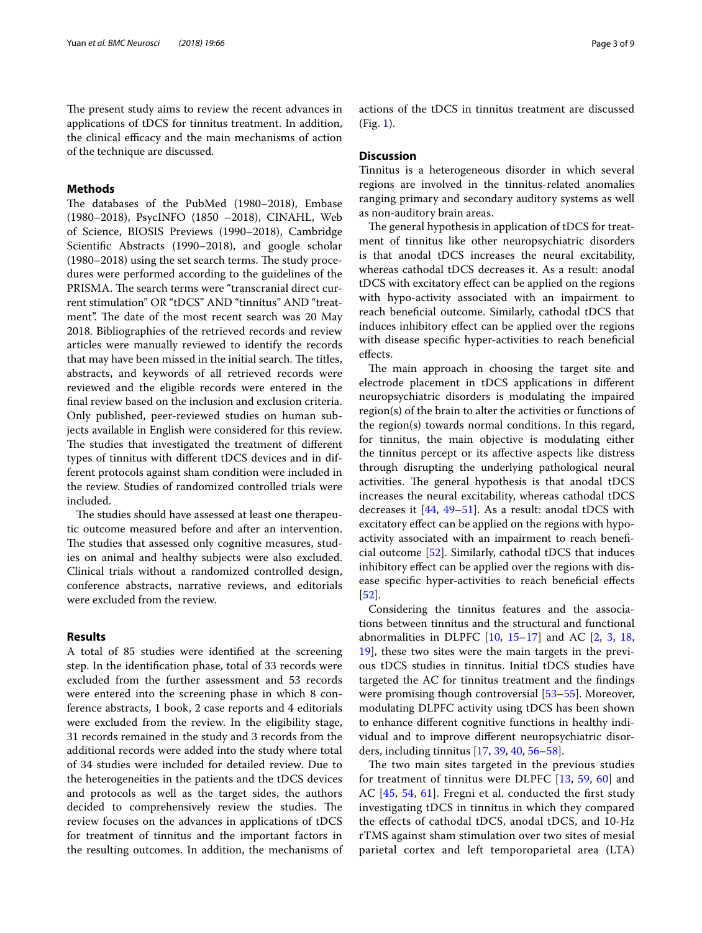The present study aims to review the recent advances in applications of tDCS for tinnitus treatment. In addition, the clinical efficacy and the main mechanisms of action of the technique are discussed.

# **Methods**

The databases of the PubMed (1980-2018), Embase (1980–2018), PsycINFO (1850 –2018), CINAHL, Web of Science, BIOSIS Previews (1990–2018), Cambridge Scientifc Abstracts (1990–2018), and google scholar  $(1980–2018)$  using the set search terms. The study procedures were performed according to the guidelines of the PRISMA. The search terms were "transcranial direct current stimulation" OR "tDCS" AND "tinnitus" AND "treatment". The date of the most recent search was 20 May 2018. Bibliographies of the retrieved records and review articles were manually reviewed to identify the records that may have been missed in the initial search. The titles, abstracts, and keywords of all retrieved records were reviewed and the eligible records were entered in the fnal review based on the inclusion and exclusion criteria. Only published, peer-reviewed studies on human subjects available in English were considered for this review. The studies that investigated the treatment of different types of tinnitus with diferent tDCS devices and in different protocols against sham condition were included in the review. Studies of randomized controlled trials were included.

The studies should have assessed at least one therapeutic outcome measured before and after an intervention. The studies that assessed only cognitive measures, studies on animal and healthy subjects were also excluded. Clinical trials without a randomized controlled design, conference abstracts, narrative reviews, and editorials were excluded from the review.

## **Results**

A total of 85 studies were identifed at the screening step. In the identifcation phase, total of 33 records were excluded from the further assessment and 53 records were entered into the screening phase in which 8 conference abstracts, 1 book, 2 case reports and 4 editorials were excluded from the review. In the eligibility stage, 31 records remained in the study and 3 records from the additional records were added into the study where total of 34 studies were included for detailed review. Due to the heterogeneities in the patients and the tDCS devices and protocols as well as the target sides, the authors decided to comprehensively review the studies. The review focuses on the advances in applications of tDCS for treatment of tinnitus and the important factors in the resulting outcomes. In addition, the mechanisms of actions of the tDCS in tinnitus treatment are discussed (Fig. [1\)](#page-3-0).

# **Discussion**

Tinnitus is a heterogeneous disorder in which several regions are involved in the tinnitus-related anomalies ranging primary and secondary auditory systems as well as non-auditory brain areas.

The general hypothesis in application of tDCS for treatment of tinnitus like other neuropsychiatric disorders is that anodal tDCS increases the neural excitability, whereas cathodal tDCS decreases it. As a result: anodal tDCS with excitatory efect can be applied on the regions with hypo-activity associated with an impairment to reach benefcial outcome. Similarly, cathodal tDCS that induces inhibitory effect can be applied over the regions with disease specifc hyper-activities to reach benefcial efects.

The main approach in choosing the target site and electrode placement in tDCS applications in diferent neuropsychiatric disorders is modulating the impaired region(s) of the brain to alter the activities or functions of the region(s) towards normal conditions. In this regard, for tinnitus, the main objective is modulating either the tinnitus percept or its afective aspects like distress through disrupting the underlying pathological neural activities. The general hypothesis is that anodal tDCS increases the neural excitability, whereas cathodal tDCS decreases it [\[44](#page-7-18), [49](#page-7-21)–[51\]](#page-7-22). As a result: anodal tDCS with excitatory efect can be applied on the regions with hypoactivity associated with an impairment to reach benefcial outcome [\[52](#page-7-23)]. Similarly, cathodal tDCS that induces inhibitory efect can be applied over the regions with disease specifc hyper-activities to reach benefcial efects [[52\]](#page-7-23).

Considering the tinnitus features and the associations between tinnitus and the structural and functional abnormalities in DLPFC  $[10, 15-17]$  $[10, 15-17]$  $[10, 15-17]$  $[10, 15-17]$  $[10, 15-17]$  and AC  $[2, 3, 18, 18]$  $[2, 3, 18, 18]$  $[2, 3, 18, 18]$  $[2, 3, 18, 18]$  $[2, 3, 18, 18]$  $[2, 3, 18, 18]$  $[2, 3, 18, 18]$ [19\]](#page-7-3), these two sites were the main targets in the previous tDCS studies in tinnitus. Initial tDCS studies have targeted the AC for tinnitus treatment and the fndings were promising though controversial [[53–](#page-7-24)[55](#page-7-25)]. Moreover, modulating DLPFC activity using tDCS has been shown to enhance diferent cognitive functions in healthy individual and to improve diferent neuropsychiatric disorders, including tinnitus [[17,](#page-7-1) [39](#page-7-16), [40](#page-7-26), [56–](#page-8-0)[58\]](#page-8-1).

The two main sites targeted in the previous studies for treatment of tinnitus were DLPFC [[13,](#page-6-8) [59,](#page-8-2) [60](#page-8-3)] and AC [\[45](#page-7-19), [54](#page-7-27), [61](#page-8-4)]. Fregni et al. conducted the frst study investigating tDCS in tinnitus in which they compared the efects of cathodal tDCS, anodal tDCS, and 10-Hz rTMS against sham stimulation over two sites of mesial parietal cortex and left temporoparietal area (LTA)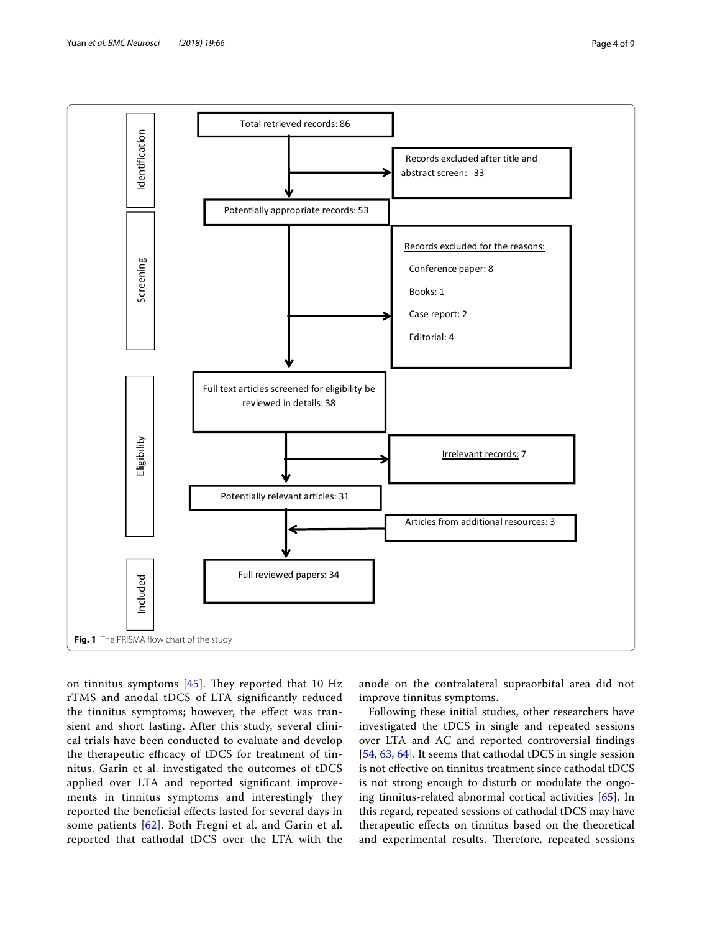

<span id="page-3-0"></span>on tinnitus symptoms  $[45]$  $[45]$  $[45]$ . They reported that 10 Hz rTMS and anodal tDCS of LTA signifcantly reduced the tinnitus symptoms; however, the efect was transient and short lasting. After this study, several clinical trials have been conducted to evaluate and develop the therapeutic efficacy of tDCS for treatment of tinnitus. Garin et al. investigated the outcomes of tDCS applied over LTA and reported signifcant improvements in tinnitus symptoms and interestingly they reported the benefcial efects lasted for several days in some patients [\[62](#page-8-5)]. Both Fregni et al. and Garin et al. reported that cathodal tDCS over the LTA with the

anode on the contralateral supraorbital area did not improve tinnitus symptoms.

Following these initial studies, other researchers have investigated the tDCS in single and repeated sessions over LTA and AC and reported controversial fndings [[54,](#page-7-27) [63](#page-8-6), [64\]](#page-8-7). It seems that cathodal tDCS in single session is not efective on tinnitus treatment since cathodal tDCS is not strong enough to disturb or modulate the ongoing tinnitus-related abnormal cortical activities [[65](#page-8-8)]. In this regard, repeated sessions of cathodal tDCS may have therapeutic efects on tinnitus based on the theoretical and experimental results. Therefore, repeated sessions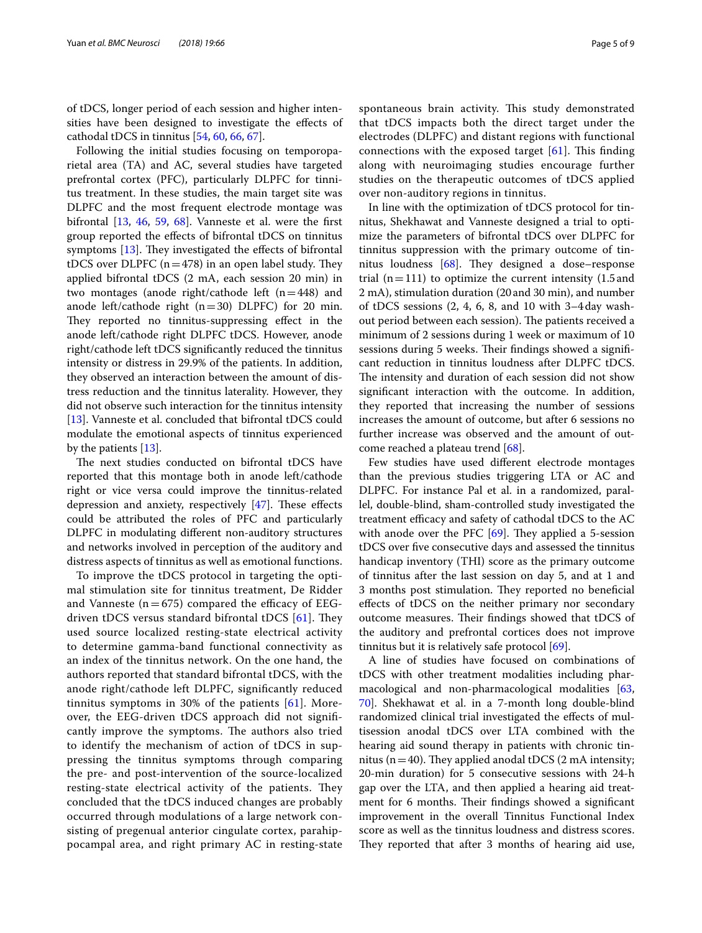of tDCS, longer period of each session and higher intensities have been designed to investigate the effects of cathodal tDCS in tinnitus [[54](#page-7-27), [60,](#page-8-3) [66](#page-8-9), [67\]](#page-8-10).

Following the initial studies focusing on temporoparietal area (TA) and AC, several studies have targeted prefrontal cortex (PFC), particularly DLPFC for tinnitus treatment. In these studies, the main target site was DLPFC and the most frequent electrode montage was bifrontal  $[13, 46, 59, 68]$  $[13, 46, 59, 68]$  $[13, 46, 59, 68]$  $[13, 46, 59, 68]$  $[13, 46, 59, 68]$  $[13, 46, 59, 68]$  $[13, 46, 59, 68]$ . Vanneste et al. were the first group reported the efects of bifrontal tDCS on tinnitus symptoms  $[13]$  $[13]$ . They investigated the effects of bifrontal tDCS over DLPFC  $(n=478)$  in an open label study. They applied bifrontal tDCS (2 mA, each session 20 min) in two montages (anode right/cathode left  $(n=448)$  and anode left/cathode right  $(n=30)$  DLPFC) for 20 min. They reported no tinnitus-suppressing effect in the anode left/cathode right DLPFC tDCS. However, anode right/cathode left tDCS signifcantly reduced the tinnitus intensity or distress in 29.9% of the patients. In addition, they observed an interaction between the amount of distress reduction and the tinnitus laterality. However, they did not observe such interaction for the tinnitus intensity [[13\]](#page-6-8). Vanneste et al. concluded that bifrontal tDCS could modulate the emotional aspects of tinnitus experienced by the patients [\[13\]](#page-6-8).

The next studies conducted on bifrontal tDCS have reported that this montage both in anode left/cathode right or vice versa could improve the tinnitus-related depression and anxiety, respectively  $[47]$  $[47]$ . These effects could be attributed the roles of PFC and particularly DLPFC in modulating diferent non-auditory structures and networks involved in perception of the auditory and distress aspects of tinnitus as well as emotional functions.

To improve the tDCS protocol in targeting the optimal stimulation site for tinnitus treatment, De Ridder and Vanneste ( $n=675$ ) compared the efficacy of EEGdriven tDCS versus standard bifrontal tDCS  $[61]$  $[61]$ . They used source localized resting-state electrical activity to determine gamma-band functional connectivity as an index of the tinnitus network. On the one hand, the authors reported that standard bifrontal tDCS, with the anode right/cathode left DLPFC, signifcantly reduced tinnitus symptoms in 30% of the patients [\[61](#page-8-4)]. Moreover, the EEG-driven tDCS approach did not signifcantly improve the symptoms. The authors also tried to identify the mechanism of action of tDCS in suppressing the tinnitus symptoms through comparing the pre- and post-intervention of the source-localized resting-state electrical activity of the patients. They concluded that the tDCS induced changes are probably occurred through modulations of a large network consisting of pregenual anterior cingulate cortex, parahippocampal area, and right primary AC in resting-state spontaneous brain activity. This study demonstrated that tDCS impacts both the direct target under the electrodes (DLPFC) and distant regions with functional connections with the exposed target  $[61]$  $[61]$ . This finding along with neuroimaging studies encourage further studies on the therapeutic outcomes of tDCS applied over non-auditory regions in tinnitus.

In line with the optimization of tDCS protocol for tinnitus, Shekhawat and Vanneste designed a trial to optimize the parameters of bifrontal tDCS over DLPFC for tinnitus suppression with the primary outcome of tinnitus loudness  $[68]$  $[68]$  $[68]$ . They designed a dose–response trial  $(n=111)$  to optimize the current intensity (1.5 and 2 mA), stimulation duration (20and 30 min), and number of tDCS sessions (2, 4, 6, 8, and 10 with 3–4day washout period between each session). The patients received a minimum of 2 sessions during 1 week or maximum of 10 sessions during 5 weeks. Their findings showed a significant reduction in tinnitus loudness after DLPFC tDCS. The intensity and duration of each session did not show signifcant interaction with the outcome. In addition, they reported that increasing the number of sessions increases the amount of outcome, but after 6 sessions no further increase was observed and the amount of outcome reached a plateau trend [\[68](#page-8-11)].

Few studies have used diferent electrode montages than the previous studies triggering LTA or AC and DLPFC. For instance Pal et al. in a randomized, parallel, double-blind, sham-controlled study investigated the treatment efficacy and safety of cathodal tDCS to the AC with anode over the PFC  $[69]$ . They applied a 5-session tDCS over fve consecutive days and assessed the tinnitus handicap inventory (THI) score as the primary outcome of tinnitus after the last session on day 5, and at 1 and 3 months post stimulation. They reported no beneficial efects of tDCS on the neither primary nor secondary outcome measures. Their findings showed that tDCS of the auditory and prefrontal cortices does not improve tinnitus but it is relatively safe protocol [\[69\]](#page-8-12).

A line of studies have focused on combinations of tDCS with other treatment modalities including pharmacological and non-pharmacological modalities [[63](#page-8-6), [70\]](#page-8-13). Shekhawat et al. in a 7-month long double-blind randomized clinical trial investigated the efects of multisession anodal tDCS over LTA combined with the hearing aid sound therapy in patients with chronic tinnitus ( $n=40$ ). They applied anodal tDCS (2 mA intensity; 20-min duration) for 5 consecutive sessions with 24-h gap over the LTA, and then applied a hearing aid treatment for 6 months. Their findings showed a significant improvement in the overall Tinnitus Functional Index score as well as the tinnitus loudness and distress scores. They reported that after 3 months of hearing aid use,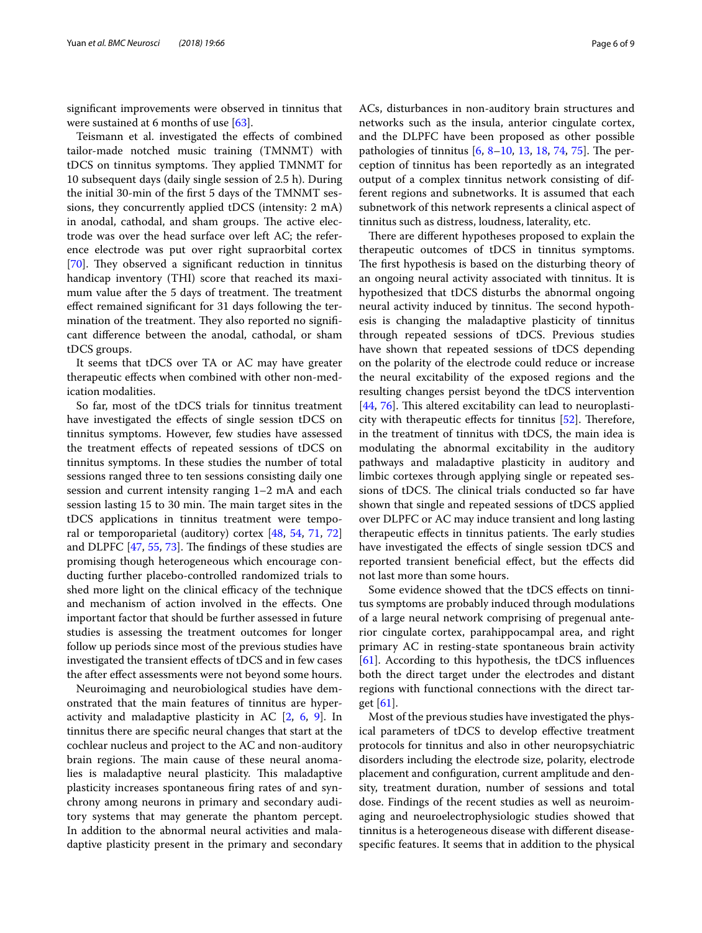signifcant improvements were observed in tinnitus that were sustained at 6 months of use [[63\]](#page-8-6).

Teismann et al. investigated the efects of combined tailor-made notched music training (TMNMT) with tDCS on tinnitus symptoms. They applied TMNMT for 10 subsequent days (daily single session of 2.5 h). During the initial 30-min of the frst 5 days of the TMNMT sessions, they concurrently applied tDCS (intensity: 2 mA) in anodal, cathodal, and sham groups. The active electrode was over the head surface over left AC; the reference electrode was put over right supraorbital cortex [ $70$ ]. They observed a significant reduction in tinnitus handicap inventory (THI) score that reached its maximum value after the 5 days of treatment. The treatment efect remained signifcant for 31 days following the termination of the treatment. They also reported no significant diference between the anodal, cathodal, or sham tDCS groups.

It seems that tDCS over TA or AC may have greater therapeutic efects when combined with other non-medication modalities.

So far, most of the tDCS trials for tinnitus treatment have investigated the efects of single session tDCS on tinnitus symptoms. However, few studies have assessed the treatment efects of repeated sessions of tDCS on tinnitus symptoms. In these studies the number of total sessions ranged three to ten sessions consisting daily one session and current intensity ranging 1–2 mA and each session lasting 15 to 30 min. The main target sites in the tDCS applications in tinnitus treatment were temporal or temporoparietal (auditory) cortex [\[48](#page-7-20), [54,](#page-7-27) [71,](#page-8-14) [72](#page-8-15)] and DLPFC  $[47, 55, 73]$  $[47, 55, 73]$  $[47, 55, 73]$  $[47, 55, 73]$  $[47, 55, 73]$  $[47, 55, 73]$  $[47, 55, 73]$ . The findings of these studies are promising though heterogeneous which encourage conducting further placebo-controlled randomized trials to shed more light on the clinical efficacy of the technique and mechanism of action involved in the efects. One important factor that should be further assessed in future studies is assessing the treatment outcomes for longer follow up periods since most of the previous studies have investigated the transient efects of tDCS and in few cases the after efect assessments were not beyond some hours.

Neuroimaging and neurobiological studies have demonstrated that the main features of tinnitus are hyperactivity and maladaptive plasticity in AC [\[2](#page-6-1), [6](#page-6-5), [9](#page-6-10)]. In tinnitus there are specifc neural changes that start at the cochlear nucleus and project to the AC and non-auditory brain regions. The main cause of these neural anomalies is maladaptive neural plasticity. This maladaptive plasticity increases spontaneous fring rates of and synchrony among neurons in primary and secondary auditory systems that may generate the phantom percept. In addition to the abnormal neural activities and maladaptive plasticity present in the primary and secondary ACs, disturbances in non-auditory brain structures and networks such as the insula, anterior cingulate cortex, and the DLPFC have been proposed as other possible pathologies of tinnitus  $[6, 8-10, 13, 18, 74, 75]$  $[6, 8-10, 13, 18, 74, 75]$  $[6, 8-10, 13, 18, 74, 75]$  $[6, 8-10, 13, 18, 74, 75]$  $[6, 8-10, 13, 18, 74, 75]$  $[6, 8-10, 13, 18, 74, 75]$  $[6, 8-10, 13, 18, 74, 75]$  $[6, 8-10, 13, 18, 74, 75]$  $[6, 8-10, 13, 18, 74, 75]$  $[6, 8-10, 13, 18, 74, 75]$  $[6, 8-10, 13, 18, 74, 75]$  $[6, 8-10, 13, 18, 74, 75]$ . The perception of tinnitus has been reportedly as an integrated output of a complex tinnitus network consisting of different regions and subnetworks. It is assumed that each subnetwork of this network represents a clinical aspect of tinnitus such as distress, loudness, laterality, etc.

There are different hypotheses proposed to explain the therapeutic outcomes of tDCS in tinnitus symptoms. The first hypothesis is based on the disturbing theory of an ongoing neural activity associated with tinnitus. It is hypothesized that tDCS disturbs the abnormal ongoing neural activity induced by tinnitus. The second hypothesis is changing the maladaptive plasticity of tinnitus through repeated sessions of tDCS. Previous studies have shown that repeated sessions of tDCS depending on the polarity of the electrode could reduce or increase the neural excitability of the exposed regions and the resulting changes persist beyond the tDCS intervention  $[44, 76]$  $[44, 76]$  $[44, 76]$  $[44, 76]$ . This altered excitability can lead to neuroplasticity with therapeutic effects for tinnitus  $[52]$  $[52]$ . Therefore, in the treatment of tinnitus with tDCS, the main idea is modulating the abnormal excitability in the auditory pathways and maladaptive plasticity in auditory and limbic cortexes through applying single or repeated sessions of tDCS. The clinical trials conducted so far have shown that single and repeated sessions of tDCS applied over DLPFC or AC may induce transient and long lasting therapeutic effects in tinnitus patients. The early studies have investigated the effects of single session tDCS and reported transient beneficial effect, but the effects did not last more than some hours.

Some evidence showed that the tDCS efects on tinnitus symptoms are probably induced through modulations of a large neural network comprising of pregenual anterior cingulate cortex, parahippocampal area, and right primary AC in resting-state spontaneous brain activity [[61\]](#page-8-4). According to this hypothesis, the tDCS infuences both the direct target under the electrodes and distant regions with functional connections with the direct target  $[61]$  $[61]$ .

Most of the previous studies have investigated the physical parameters of tDCS to develop efective treatment protocols for tinnitus and also in other neuropsychiatric disorders including the electrode size, polarity, electrode placement and confguration, current amplitude and density, treatment duration, number of sessions and total dose. Findings of the recent studies as well as neuroimaging and neuroelectrophysiologic studies showed that tinnitus is a heterogeneous disease with diferent diseasespecifc features. It seems that in addition to the physical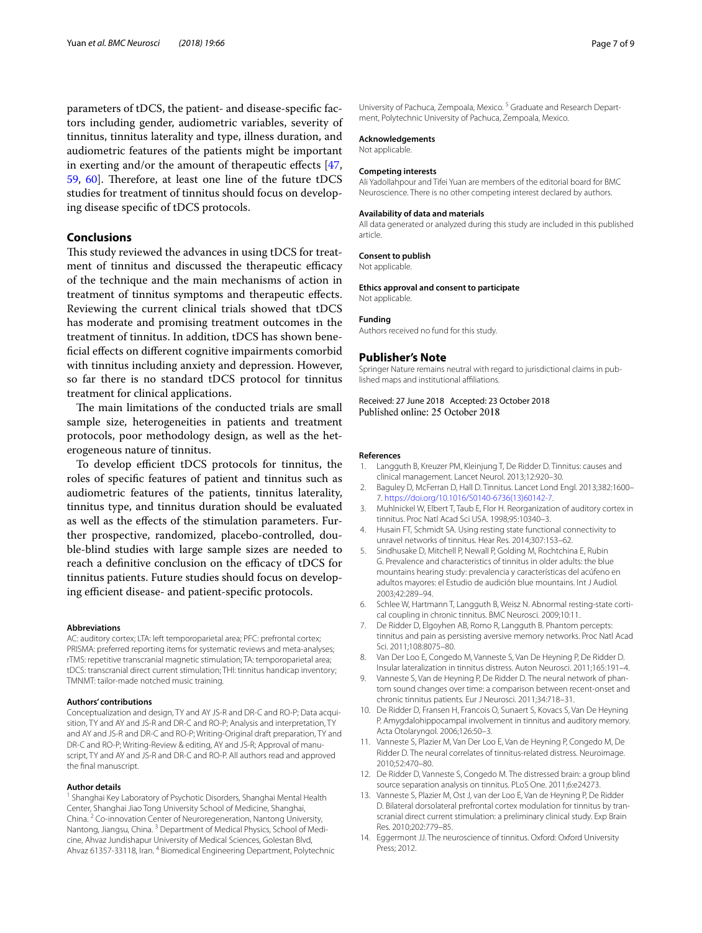parameters of tDCS, the patient- and disease-specifc factors including gender, audiometric variables, severity of tinnitus, tinnitus laterality and type, illness duration, and audiometric features of the patients might be important in exerting and/or the amount of therapeutic efects [\[47](#page-7-29), [59,](#page-8-2) [60\]](#page-8-3). Therefore, at least one line of the future tDCS studies for treatment of tinnitus should focus on developing disease specifc of tDCS protocols.

# **Conclusions**

This study reviewed the advances in using tDCS for treatment of tinnitus and discussed the therapeutic efficacy of the technique and the main mechanisms of action in treatment of tinnitus symptoms and therapeutic efects. Reviewing the current clinical trials showed that tDCS has moderate and promising treatment outcomes in the treatment of tinnitus. In addition, tDCS has shown benefcial efects on diferent cognitive impairments comorbid with tinnitus including anxiety and depression. However, so far there is no standard tDCS protocol for tinnitus treatment for clinical applications.

The main limitations of the conducted trials are small sample size, heterogeneities in patients and treatment protocols, poor methodology design, as well as the heterogeneous nature of tinnitus.

To develop efficient tDCS protocols for tinnitus, the roles of specifc features of patient and tinnitus such as audiometric features of the patients, tinnitus laterality, tinnitus type, and tinnitus duration should be evaluated as well as the efects of the stimulation parameters. Further prospective, randomized, placebo-controlled, double-blind studies with large sample sizes are needed to reach a definitive conclusion on the efficacy of tDCS for tinnitus patients. Future studies should focus on developing efficient disease- and patient-specific protocols.

#### **Abbreviations**

AC: auditory cortex; LTA: left temporoparietal area; PFC: prefrontal cortex; PRISMA: preferred reporting items for systematic reviews and meta-analyses; rTMS: repetitive transcranial magnetic stimulation; TA: temporoparietal area; tDCS: transcranial direct current stimulation; THI: tinnitus handicap inventory; TMNMT: tailor-made notched music training.

#### **Authors' contributions**

Conceptualization and design, TY and AY JS-R and DR-C and RO-P; Data acquisition, TY and AY and JS-R and DR-C and RO-P; Analysis and interpretation, TY and AY and JS-R and DR-C and RO-P; Writing-Original draft preparation, TY and DR-C and RO-P; Writing-Review & editing, AY and JS-R; Approval of manuscript, TY and AY and JS-R and DR-C and RO-P. All authors read and approved the fnal manuscript.

#### **Author details**

<sup>1</sup> Shanghai Key Laboratory of Psychotic Disorders, Shanghai Mental Health Center, Shanghai Jiao Tong University School of Medicine, Shanghai, China. <sup>2</sup> Co‑innovation Center of Neuroregeneration, Nantong University, Nantong, Jiangsu, China.<sup>3</sup> Department of Medical Physics, School of Medicine, Ahvaz Jundishapur University of Medical Sciences, Golestan Blvd, Ahvaz 61357‑33118, Iran. 4 Biomedical Engineering Department, Polytechnic University of Pachuca, Zempoala, Mexico.<sup>5</sup> Graduate and Research Department, Polytechnic University of Pachuca, Zempoala, Mexico.

#### **Acknowledgements**

Not applicable.

#### **Competing interests**

Ali Yadollahpour and Tifei Yuan are members of the editorial board for BMC Neuroscience. There is no other competing interest declared by authors.

#### **Availability of data and materials**

All data generated or analyzed during this study are included in this published article.

#### **Consent to publish**

Not applicable.

#### **Ethics approval and consent to participate**

Not applicable.

#### **Funding**

Authors received no fund for this study.

#### **Publisher's Note**

Springer Nature remains neutral with regard to jurisdictional claims in published maps and institutional afliations.

# Received: 27 June 2018 Accepted: 23 October 2018

#### **References**

- <span id="page-6-0"></span>Langguth B, Kreuzer PM, Kleinjung T, De Ridder D. Tinnitus: causes and clinical management. Lancet Neurol. 2013;12:920–30.
- <span id="page-6-1"></span>2. Baguley D, McFerran D, Hall D. Tinnitus. Lancet Lond Engl. 2013;382:1600– 7. [https://doi.org/10.1016/S0140-6736\(13\)60142-7.](https://doi.org/10.1016/S0140-6736(13)60142-7)
- <span id="page-6-2"></span>3. Muhlnickel W, Elbert T, Taub E, Flor H. Reorganization of auditory cortex in tinnitus. Proc Natl Acad Sci USA. 1998;95:10340–3.
- <span id="page-6-3"></span>4. Husain FT, Schmidt SA. Using resting state functional connectivity to unravel networks of tinnitus. Hear Res. 2014;307:153–62.
- <span id="page-6-4"></span>5. Sindhusake D, Mitchell P, Newall P, Golding M, Rochtchina E, Rubin G. Prevalence and characteristics of tinnitus in older adults: the blue mountains hearing study: prevalencia y características del acúfeno en adultos mayores: el Estudio de audición blue mountains. Int J Audiol. 2003;42:289–94.
- <span id="page-6-5"></span>6. Schlee W, Hartmann T, Langguth B, Weisz N. Abnormal resting-state cortical coupling in chronic tinnitus. BMC Neurosci. 2009;10:11.
- 7. De Ridder D, Elgoyhen AB, Romo R, Langguth B. Phantom percepts: tinnitus and pain as persisting aversive memory networks. Proc Natl Acad Sci. 2011;108:8075–80.
- <span id="page-6-11"></span>8. Van Der Loo E, Congedo M, Vanneste S, Van De Heyning P, De Ridder D. Insular lateralization in tinnitus distress. Auton Neurosci. 2011;165:191–4.
- <span id="page-6-10"></span>9. Vanneste S, Van de Heyning P, De Ridder D. The neural network of phantom sound changes over time: a comparison between recent-onset and chronic tinnitus patients. Eur J Neurosci. 2011;34:718–31.
- <span id="page-6-6"></span>10. De Ridder D, Fransen H, Francois O, Sunaert S, Kovacs S, Van De Heyning P. Amygdalohippocampal involvement in tinnitus and auditory memory. Acta Otolaryngol. 2006;126:50–3.
- <span id="page-6-7"></span>11. Vanneste S, Plazier M, Van Der Loo E, Van de Heyning P, Congedo M, De Ridder D. The neural correlates of tinnitus-related distress. Neuroimage. 2010;52:470–80.
- 12. De Ridder D, Vanneste S, Congedo M. The distressed brain: a group blind source separation analysis on tinnitus. PLoS One. 2011;6:e24273.
- <span id="page-6-8"></span>13. Vanneste S, Plazier M, Ost J, van der Loo E, Van de Heyning P, De Ridder D. Bilateral dorsolateral prefrontal cortex modulation for tinnitus by tran‑ scranial direct current stimulation: a preliminary clinical study. Exp Brain Res. 2010;202:779–85.
- <span id="page-6-9"></span>14. Eggermont JJ. The neuroscience of tinnitus. Oxford: Oxford University Press; 2012.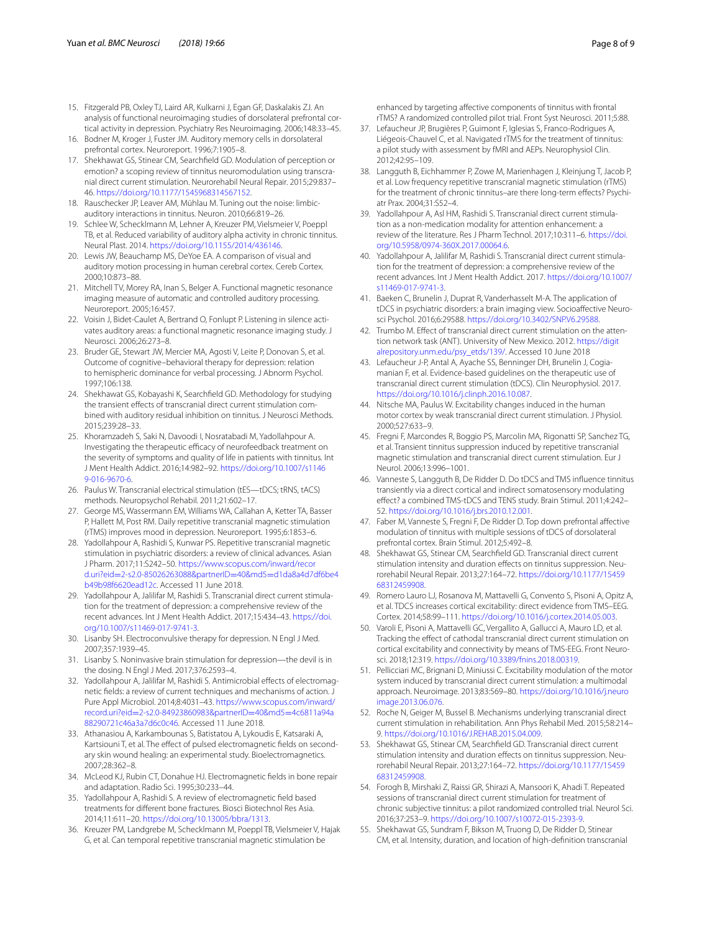- <span id="page-7-0"></span>15. Fitzgerald PB, Oxley TJ, Laird AR, Kulkarni J, Egan GF, Daskalakis ZJ. An analysis of functional neuroimaging studies of dorsolateral prefrontal cortical activity in depression. Psychiatry Res Neuroimaging. 2006;148:33–45.
- 16. Bodner M, Kroger J, Fuster JM. Auditory memory cells in dorsolateral prefrontal cortex. Neuroreport. 1996;7:1905–8.
- <span id="page-7-1"></span>17. Shekhawat GS, Stinear CM, Searchfeld GD. Modulation of perception or emotion? a scoping review of tinnitus neuromodulation using transcranial direct current stimulation. Neurorehabil Neural Repair. 2015;29:837– 46. <https://doi.org/10.1177/1545968314567152>.
- <span id="page-7-2"></span>18. Rauschecker JP, Leaver AM, Mühlau M. Tuning out the noise: limbicauditory interactions in tinnitus. Neuron. 2010;66:819–26.
- <span id="page-7-3"></span>19. Schlee W, Schecklmann M, Lehner A, Kreuzer PM, Vielsmeier V, Poeppl TB, et al. Reduced variability of auditory alpha activity in chronic tinnitus. Neural Plast. 2014.<https://doi.org/10.1155/2014/436146>.
- <span id="page-7-4"></span>20. Lewis JW, Beauchamp MS, DeYoe EA. A comparison of visual and auditory motion processing in human cerebral cortex. Cereb Cortex. 2000;10:873–88.
- 21. Mitchell TV, Morey RA, Inan S, Belger A. Functional magnetic resonance imaging measure of automatic and controlled auditory processing. Neuroreport. 2005;16:457.
- <span id="page-7-5"></span>22. Voisin J, Bidet-Caulet A, Bertrand O, Fonlupt P. Listening in silence activates auditory areas: a functional magnetic resonance imaging study. J Neurosci. 2006;26:273–8.
- <span id="page-7-6"></span>23. Bruder GE, Stewart JW, Mercier MA, Agosti V, Leite P, Donovan S, et al. Outcome of cognitive–behavioral therapy for depression: relation to hemispheric dominance for verbal processing. J Abnorm Psychol. 1997;106:138.
- <span id="page-7-7"></span>24. Shekhawat GS, Kobayashi K, Searchfeld GD. Methodology for studying the transient efects of transcranial direct current stimulation com‑ bined with auditory residual inhibition on tinnitus. J Neurosci Methods. 2015;239:28–33.
- <span id="page-7-8"></span>25. Khoramzadeh S, Saki N, Davoodi I, Nosratabadi M, Yadollahpour A. Investigating the therapeutic efficacy of neurofeedback treatment on the severity of symptoms and quality of life in patients with tinnitus. Int J Ment Health Addict. 2016;14:982–92. [https://doi.org/10.1007/s1146](https://doi.org/10.1007/s11469-016-9670-6) [9-016-9670-6](https://doi.org/10.1007/s11469-016-9670-6).
- <span id="page-7-9"></span>26. Paulus W. Transcranial electrical stimulation (tES—tDCS; tRNS, tACS) methods. Neuropsychol Rehabil. 2011;21:602–17.
- 27. George MS, Wassermann EM, Williams WA, Callahan A, Ketter TA, Basser P, Hallett M, Post RM. Daily repetitive transcranial magnetic stimulation (rTMS) improves mood in depression. Neuroreport. 1995;6:1853–6.
- 28. Yadollahpour A, Rashidi S, Kunwar PS. Repetitive transcranial magnetic stimulation in psychiatric disorders: a review of clinical advances. Asian J Pharm. 2017;11:S242–50. [https://www.scopus.com/inward/recor](https://www.scopus.com/inward/record.uri%3feid%3d2-s2.0-85026263088%26partnerID%3d40%26md5%3dd1da8a4d7df6be4b49b98f6620ead12c) d.uri?eid=[2-s2.0-85026263088&partnerID](https://www.scopus.com/inward/record.uri%3feid%3d2-s2.0-85026263088%26partnerID%3d40%26md5%3dd1da8a4d7df6be4b49b98f6620ead12c)=40&md5=d1da8a4d7df6be4 [b49b98f6620ead12c.](https://www.scopus.com/inward/record.uri%3feid%3d2-s2.0-85026263088%26partnerID%3d40%26md5%3dd1da8a4d7df6be4b49b98f6620ead12c) Accessed 11 June 2018.
- 29. Yadollahpour A, Jalilifar M, Rashidi S. Transcranial direct current stimulation for the treatment of depression: a comprehensive review of the recent advances. Int J Ment Health Addict. 2017;15:434–43. [https://doi.](https://doi.org/10.1007/s11469-017-9741-3) [org/10.1007/s11469-017-9741-3.](https://doi.org/10.1007/s11469-017-9741-3)
- <span id="page-7-11"></span>30. Lisanby SH. Electroconvulsive therapy for depression. N Engl J Med. 2007;357:1939–45.
- <span id="page-7-10"></span>31. Lisanby S. Noninvasive brain stimulation for depression—the devil is in the dosing. N Engl J Med. 2017;376:2593–4.
- <span id="page-7-12"></span>32. Yadollahpour A, Jalilifar M, Rashidi S. Antimicrobial effects of electromagnetic felds: a review of current techniques and mechanisms of action. J Pure Appl Microbiol. 2014;8:4031–43. [https://www.scopus.com/inward/](https://www.scopus.com/inward/record.uri%3feid%3d2-s2.0-84923860983%26partnerID%3d40%26md5%3d4c6811a94a88290721c46a3a7d6c0c46) record.uri?eid=[2-s2.0-84923860983&partnerID](https://www.scopus.com/inward/record.uri%3feid%3d2-s2.0-84923860983%26partnerID%3d40%26md5%3d4c6811a94a88290721c46a3a7d6c0c46)=40&md5=4c6811a94a [88290721c46a3a7d6c0c46](https://www.scopus.com/inward/record.uri%3feid%3d2-s2.0-84923860983%26partnerID%3d40%26md5%3d4c6811a94a88290721c46a3a7d6c0c46). Accessed 11 June 2018.
- 33. Athanasiou A, Karkambounas S, Batistatou A, Lykoudis E, Katsaraki A, Kartsiouni T, et al. The effect of pulsed electromagnetic fields on secondary skin wound healing: an experimental study. Bioelectromagnetics. 2007;28:362–8.
- 34. McLeod KJ, Rubin CT, Donahue HJ. Electromagnetic felds in bone repair and adaptation. Radio Sci. 1995;30:233–44.
- <span id="page-7-13"></span>35. Yadollahpour A, Rashidi S. A review of electromagnetic feld based treatments for diferent bone fractures. Biosci Biotechnol Res Asia. 2014;11:611–20. [https://doi.org/10.13005/bbra/1313.](https://doi.org/10.13005/bbra/1313)
- <span id="page-7-14"></span>36. Kreuzer PM, Landgrebe M, Schecklmann M, Poeppl TB, Vielsmeier V, Hajak G, et al. Can temporal repetitive transcranial magnetic stimulation be

enhanced by targeting affective components of tinnitus with frontal rTMS? A randomized controlled pilot trial. Front Syst Neurosci. 2011;5:88.

- 37. Lefaucheur JP, Brugières P, Guimont F, Iglesias S, Franco-Rodrigues A, Liégeois-Chauvel C, et al. Navigated rTMS for the treatment of tinnitus: a pilot study with assessment by fMRI and AEPs. Neurophysiol Clin. 2012;42:95–109.
- <span id="page-7-15"></span>38. Langguth B, Eichhammer P, Zowe M, Marienhagen J, Kleinjung T, Jacob P, et al. Low frequency repetitive transcranial magnetic stimulation (rTMS) for the treatment of chronic tinnitus-are there long-term effects? Psychiatr Prax. 2004;31:S52–4.
- <span id="page-7-16"></span>39. Yadollahpour A, Asl HM, Rashidi S. Transcranial direct current stimulation as a non-medication modality for attention enhancement: a review of the literature. Res J Pharm Technol. 2017;10:311–6. [https://doi.](https://doi.org/10.5958/0974-360X.2017.00064.6) [org/10.5958/0974-360X.2017.00064.6.](https://doi.org/10.5958/0974-360X.2017.00064.6)
- <span id="page-7-26"></span>40. Yadollahpour A, Jalilifar M, Rashidi S. Transcranial direct current stimulation for the treatment of depression: a comprehensive review of the recent advances. Int J Ment Health Addict. 2017. [https://doi.org/10.1007/](https://doi.org/10.1007/s11469-017-9741-3) [s11469-017-9741-3.](https://doi.org/10.1007/s11469-017-9741-3)
- 41. Baeken C, Brunelin J, Duprat R, Vanderhasselt M-A. The application of tDCS in psychiatric disorders: a brain imaging view. Socioaffective Neurosci Psychol. 2016;6:29588. [https://doi.org/10.3402/SNP.V6.29588.](https://doi.org/10.3402/SNP.V6.29588)
- 42. Trumbo M. Effect of transcranial direct current stimulation on the attention network task (ANT). University of New Mexico. 2012. [https://digit](https://digitalrepository.unm.edu/psy_etds/139/) [alrepository.unm.edu/psy\\_etds/139/.](https://digitalrepository.unm.edu/psy_etds/139/) Accessed 10 June 2018
- <span id="page-7-17"></span>43. Lefaucheur J-P, Antal A, Ayache SS, Benninger DH, Brunelin J, Cogiamanian F, et al. Evidence-based guidelines on the therapeutic use of transcranial direct current stimulation (tDCS). Clin Neurophysiol. 2017. [https://doi.org/10.1016/j.clinph.2016.10.087.](https://doi.org/10.1016/j.clinph.2016.10.087)
- <span id="page-7-18"></span>44. Nitsche MA, Paulus W. Excitability changes induced in the human motor cortex by weak transcranial direct current stimulation. J Physiol. 2000;527:633–9.
- <span id="page-7-19"></span>45. Fregni F, Marcondes R, Boggio PS, Marcolin MA, Rigonatti SP, Sanchez TG, et al. Transient tinnitus suppression induced by repetitive transcranial magnetic stimulation and transcranial direct current stimulation. Eur J Neurol. 2006;13:996–1001.
- <span id="page-7-28"></span>46. Vanneste S, Langguth B, De Ridder D. Do tDCS and TMS infuence tinnitus transiently via a direct cortical and indirect somatosensory modulating efect? a combined TMS-tDCS and TENS study. Brain Stimul. 2011;4:242– 52. [https://doi.org/10.1016/j.brs.2010.12.001.](https://doi.org/10.1016/j.brs.2010.12.001)
- <span id="page-7-29"></span>47. Faber M, Vanneste S, Fregni F, De Ridder D. Top down prefrontal afective modulation of tinnitus with multiple sessions of tDCS of dorsolateral prefrontal cortex. Brain Stimul. 2012;5:492–8.
- <span id="page-7-20"></span>Shekhawat GS, Stinear CM, Searchfield GD. Transcranial direct current stimulation intensity and duration effects on tinnitus suppression. Neurorehabil Neural Repair. 2013;27:164–72. [https://doi.org/10.1177/15459](https://doi.org/10.1177/1545968312459908) [68312459908.](https://doi.org/10.1177/1545968312459908)
- <span id="page-7-21"></span>49. Romero Lauro LJ, Rosanova M, Mattavelli G, Convento S, Pisoni A, Opitz A, et al. TDCS increases cortical excitability: direct evidence from TMS–EEG. Cortex. 2014;58:99–111. <https://doi.org/10.1016/j.cortex.2014.05.003>.
- 50. Varoli E, Pisoni A, Mattavelli GC, Vergallito A, Gallucci A, Mauro LD, et al. Tracking the efect of cathodal transcranial direct current stimulation on cortical excitability and connectivity by means of TMS-EEG. Front Neurosci. 2018;12:319. [https://doi.org/10.3389/fnins.2018.00319.](https://doi.org/10.3389/fnins.2018.00319)
- <span id="page-7-22"></span>51. Pellicciari MC, Brignani D, Miniussi C. Excitability modulation of the motor system induced by transcranial direct current stimulation: a multimodal approach. Neuroimage. 2013;83:569–80. [https://doi.org/10.1016/j.neuro](https://doi.org/10.1016/j.neuroimage.2013.06.076) [image.2013.06.076](https://doi.org/10.1016/j.neuroimage.2013.06.076).
- <span id="page-7-23"></span>52. Roche N, Geiger M, Bussel B. Mechanisms underlying transcranial direct current stimulation in rehabilitation. Ann Phys Rehabil Med. 2015;58:214– 9. [https://doi.org/10.1016/J.REHAB.2015.04.009.](https://doi.org/10.1016/J.REHAB.2015.04.009)
- <span id="page-7-24"></span>53. Shekhawat GS, Stinear CM, Searchfeld GD. Transcranial direct current stimulation intensity and duration effects on tinnitus suppression. Neurorehabil Neural Repair. 2013;27:164–72. [https://doi.org/10.1177/15459](https://doi.org/10.1177/1545968312459908) [68312459908.](https://doi.org/10.1177/1545968312459908)
- <span id="page-7-27"></span>54. Forogh B, Mirshaki Z, Raissi GR, Shirazi A, Mansoori K, Ahadi T. Repeated sessions of transcranial direct current stimulation for treatment of chronic subjective tinnitus: a pilot randomized controlled trial. Neurol Sci. 2016;37:253–9. [https://doi.org/10.1007/s10072-015-2393-9.](https://doi.org/10.1007/s10072-015-2393-9)
- <span id="page-7-25"></span>55. Shekhawat GS, Sundram F, Bikson M, Truong D, De Ridder D, Stinear CM, et al. Intensity, duration, and location of high-defnition transcranial